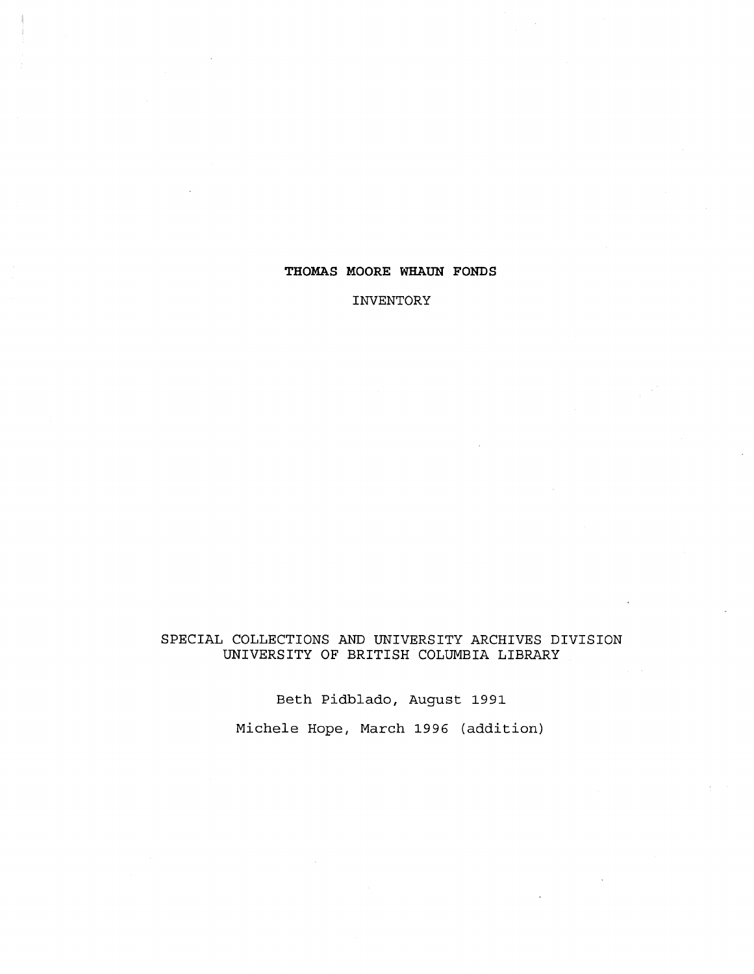## **THOMAS MOORE WHAUN FONDS**

**INVENTORY**

## SPECIAL COLLECTIONS AND UNIVERSITY ARCHIVES DIVISION UNIVERSITY OF BRITISH COLUMBIA LIBRARY

Beth Pidblado, August 1991

Michele Hope, March 1996 (addition)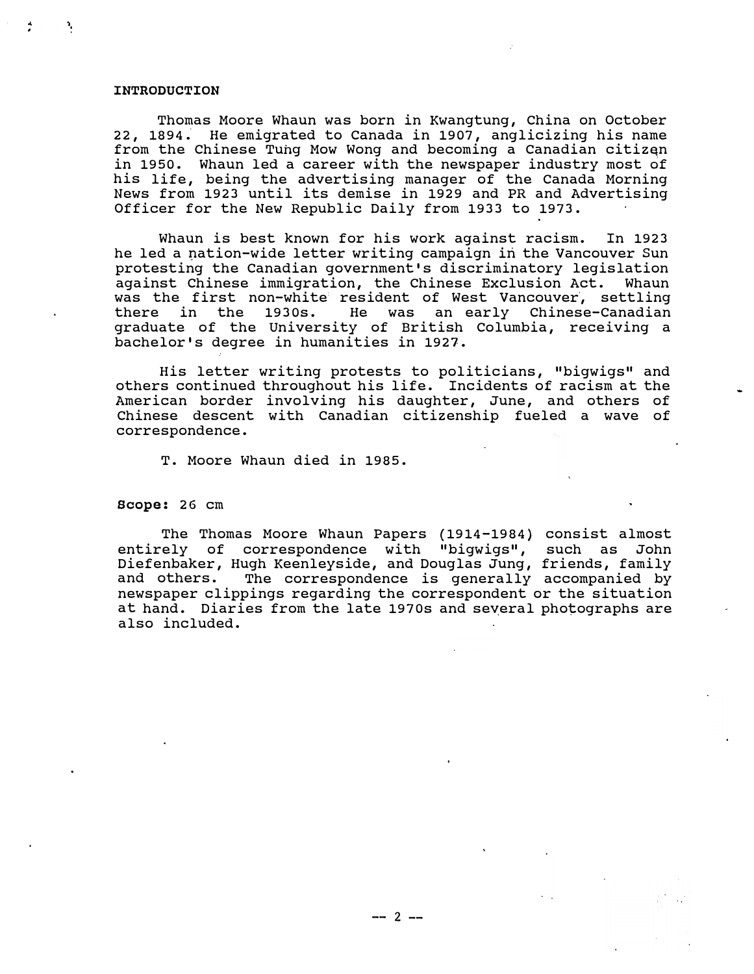#### **INTRODUCTION**

Thomas Moore Whaun was born in Kwangtung, China on October 22, 1894; He emigrated to Canada in 1907, anglicizing his name from the Chinese Tung Mow Wong and becoming a Canadian citizan in 1950. Whaun led a career with the newspaper industry most of his life, being the advertising manager of the Canada Morning News from 1923 until its demise in 1929 and PR and Advertising Officer for the New Republic Daily from 1933 to 1973.

Whaun is best known for his work against racism. In 1923 he led a nation-wide letter writing campaign in the Vancouver Sun protesting the Canadian government's discriminatory legislation against Chinese immigration, the Chinese Exclusion Act. Whaun was the first non-white resident of West Vancouver, settling<br>there in the 1930s. He was an early Chinese-Canadian an early Chinese-Canadian graduate of the University of British Columbia, receiving a bachelor's degree in humanities in 1927.

His letter writing protests to politicians, "bigwigs" and others continued throughout his life. Incidents of racism at the American border involving his daughter, June, and others of Chinese descent with Canadian citizenship fueled a wave of correspondence.

T. Moore Whaun died in 1985.

**Scope:** 26 cm

The Thomas Moore Whaun Papers (1914-1984) consist almost entirely of correspondence with "bigwigs", such as John Diefenbaker, Hugh Keenleyside, and Douglas Jung, friends, family and others. The correspondence is generally accompanied by newspaper clippings regarding the correspondent or the situation at hand. Diaries from the late 1970s and several photographs are also included.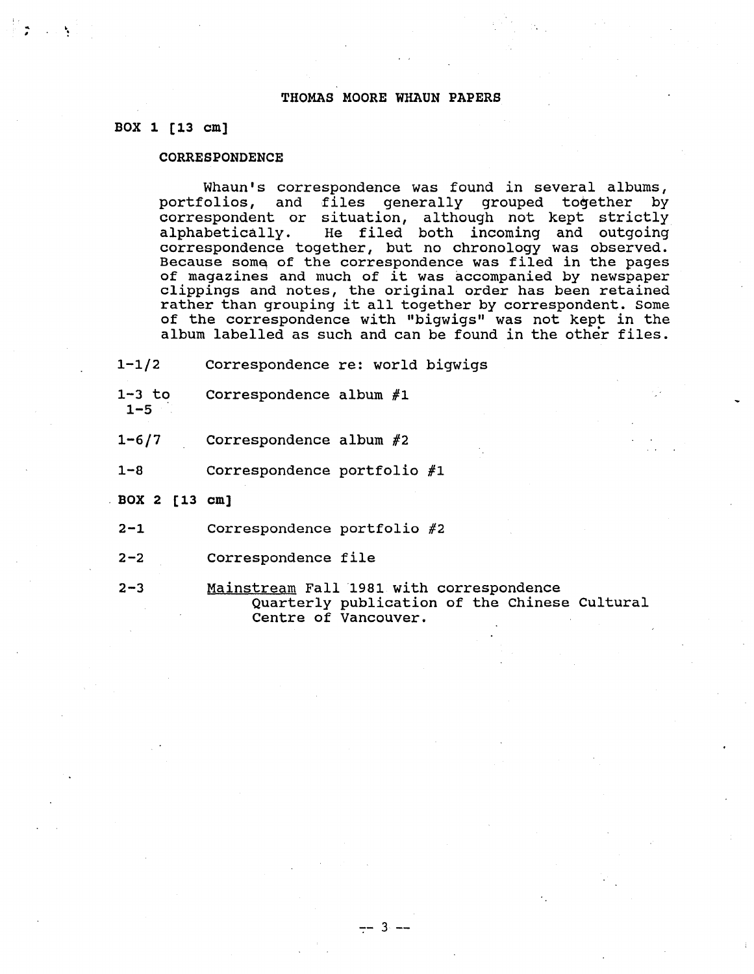### **THOMAS MOORE WHAUN PAPERS**

#### **BOX 1 [13 cm ]**

### **CORRESPONDENCE**

Whaun's correspondence was found in several albums,<br>portfolios, and files qenerally grouped together by files generally grouped together by correspondent or situation, although not kept strictly alphabetically. He filed both incoming and outgoing correspondence together, but no chronology was observed . Because some of the correspondence was filed in the pages of magazines and much of it was accompanied by newspaper clippings and notes, the original order has been retained rather than grouping it all together by correspondent. Some of the correspondence with "bigwigs" was not kept in the album labelled as such and can be found in the other files .

- 1-1/2 Correspondence re: world bigwigs
- 1-3 to Correspondence album  $#1$
- $1 5$
- $1-6/7$  Correspondence album  $#2$
- 1-8 Correspondence portfolio #1
- BOX 2 [13 cm ]
	- 2-1 Correspondence portfolio #2
	- 2-2 Correspondence file
	- 2-3 Mainstream Fall 1981 with correspondence Quarterly publication of the Chinese Cultural Centre of Vancouver .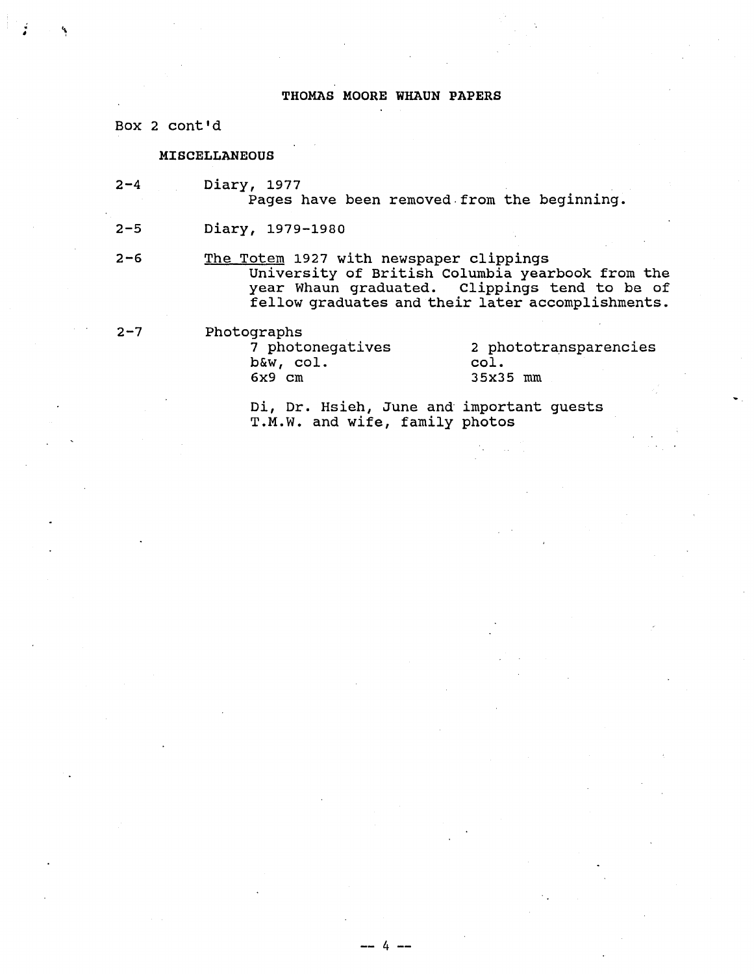### THOMAS MOORE WHAUN PAPERS

Box 2 cont'd

#### MISCELLANEOUS

2-4 Diary, 1977

Pages have been removed from the beginning.

2-5 Diary, 1979-198 <sup>0</sup>

2-6 The Totem 1927 with newspaper clippings University of British Columbia yearbook from the year Whaun graduated. Clippings tend to be of fellow graduates and their later accomplishments .

-- 4 --

2-7 Photographs<br>7 photonegatives  $b$ &w, col.<br> $6x9$  cm

2 phototransparencies col. 35x35 mm

Di, Dr. Hsieh, June and important guests T.M.W. and wife, family photos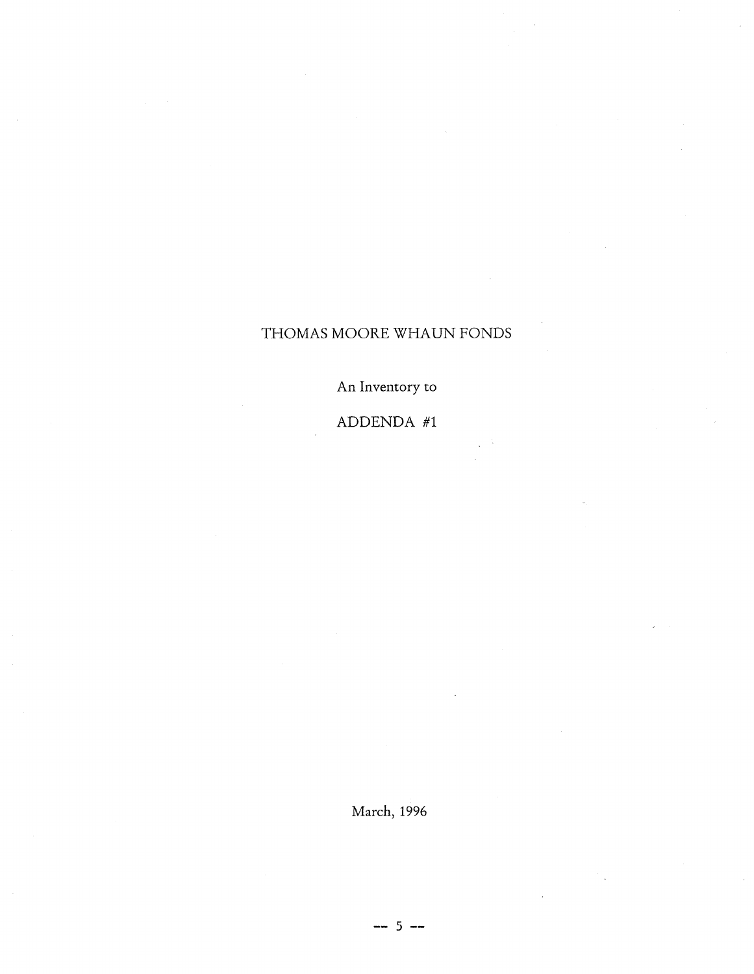# THOMAS MOORE WHAUN FONDS

An Inventory to

# ADDENDA  $#1$

March, 1996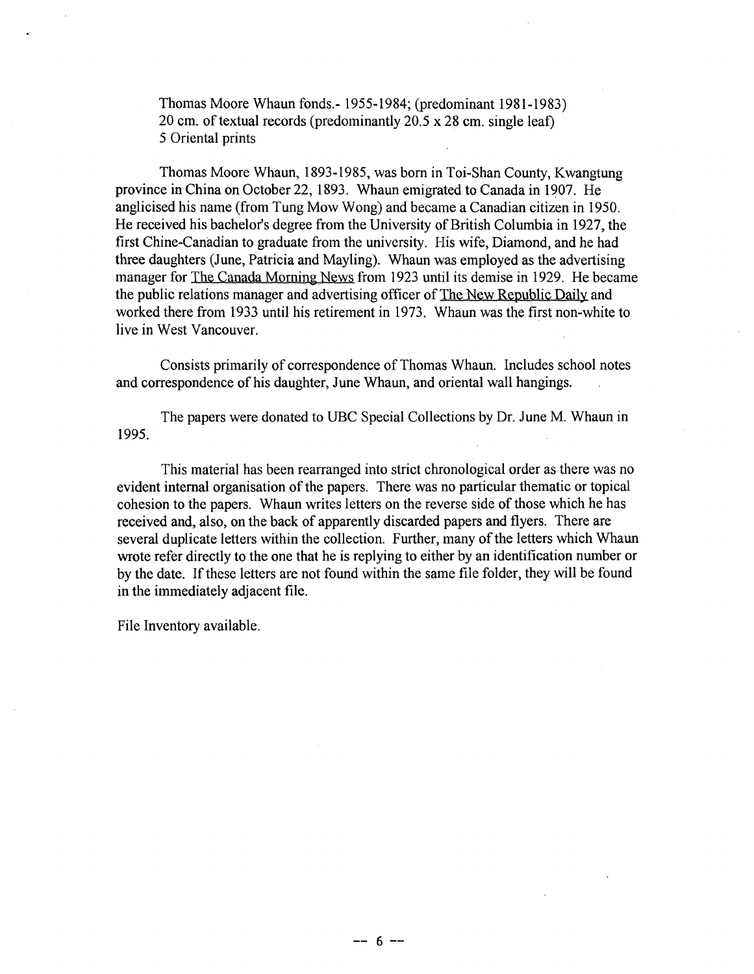Thomas Moore Whaun fonds.- 1955-1984; (predominant 1981-1983 ) 20 cm. of textual records (predominantly 20.5 x 28 cm. single leaf) 5 Oriental prints

Thomas Moore Whaun, 1893-1985, was born in Toi-Shan County, Kwangtung province in China on October 22, 1893 . Whaun emigrated to Canada in 1907 . He anglicised his name (from Tung Mow Wong) and became a Canadian citizen in 1950. He received his bachelor's degree from the University of British Columbia in 1927, the first Chine-Canadian to graduate from the university. His wife, Diamond, and he had three daughters (June, Patricia and Mayling). Whaun was employed as the advertising manager for The Canada Morning News from 1923 until its demise in 1929. He became the public relations manager and advertising officer of The New Republic Daily and worked there from 1933 until his retirement in 1973 . Whaun was the first non-white to live in West Vancouver.

Consists primarily of correspondence of Thomas Whaun . Includes school notes and correspondence of his daughter, June Whaun, and oriental wall hangings.

The papers were donated to UBC Special Collections by Dr. June M. Whaun in 1995.

This material has been rearranged into strict chronological order as there was no evident internal organisation of the papers. There was no particular thematic or topical cohesion to the papers. Whaun writes letters on the reverse side of those which he has received and, also, on the back of apparently discarded papers and flyers. There are several duplicate letters within the collection. Further, many of the letters which Whaun wrote refer directly to the one that he is replying to either by an identification number or by the date. If these letters are not found within the same file folder, they will be found in the immediately adjacent file.

File Inventory available.

 $-- 6 --$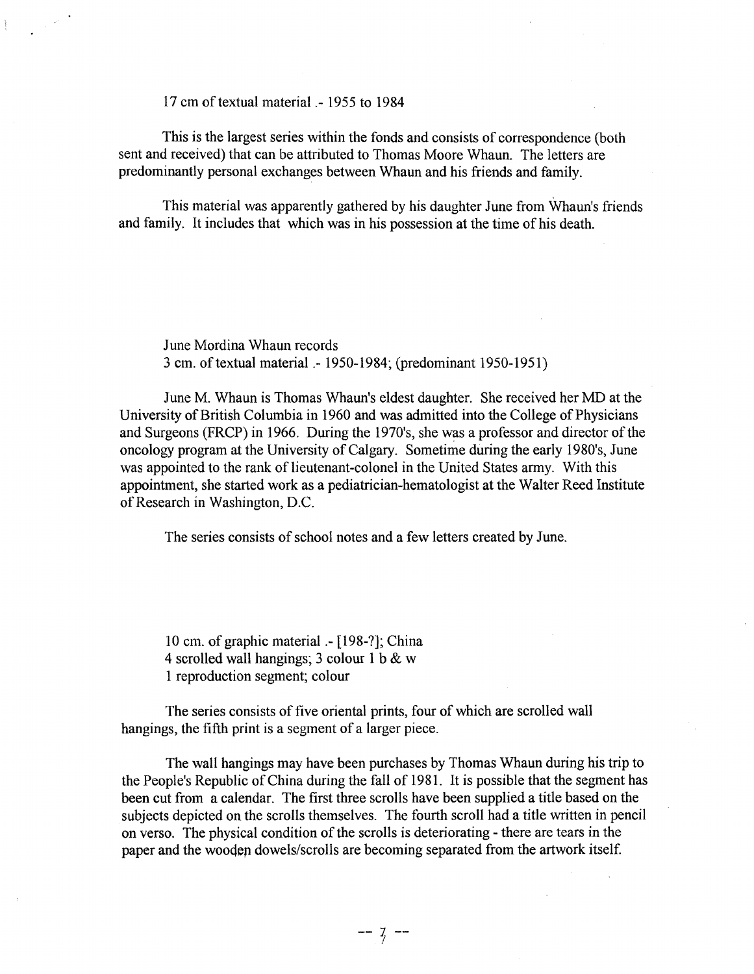17 cm of textual material .- 1955 to 1984

This is the largest series within the fonds and consists of correspondence (both sent and received) that can be attributed to Thomas Moore Whaun. The letters are predominantly personal exchanges between Whaun and his friends and family .

This material was apparently gathered by his daughter June from Whaun's friends and family. It includes that which was in his possession at the time of his death.

June Mordina Whaun records 3 cm. of textual material .- 1950-1984; (predominant 1950-1951 )

June M. Whaun is Thomas Whaun's eldest daughter. She received her MD at the University of British Columbia in 1960 and was admitted into the College of Physicians and Surgeons (FRCP) in 1966. During the 1970's, she was a professor and director of the oncology program at the University of Calgary. Sometime during the early 1980's, June was appointed to the rank of lieutenant-colonel in the United States army. With this appointment, she started work as a pediatrician-hematologist at the Walter Reed Institute of Research in Washington, D.C.

The series consists of school notes and a few letters created by June.

10 cm. of graphic material .- [198-?]; China 4 scrolled wall hangings; 3 colour 1 b & w 1 reproduction segment; colour

The series consists of five oriental prints, four of which are scrolled wall hangings, the fifth print is a segment of a larger piece.

The wall hangings may have been purchases by Thomas Whaun during his trip to the People's Republic of China during the fall of 1981. It is possible that the segment has been cut from a calendar. The first three scrolls have been supplied a title based on the subjects depicted on the scrolls themselves. The fourth scroll had a title written in pencil on verso. The physical condition of the scrolls is deteriorating - there are tears in the paper and the wooden dowels/scrolls are becoming separated from the artwork itself.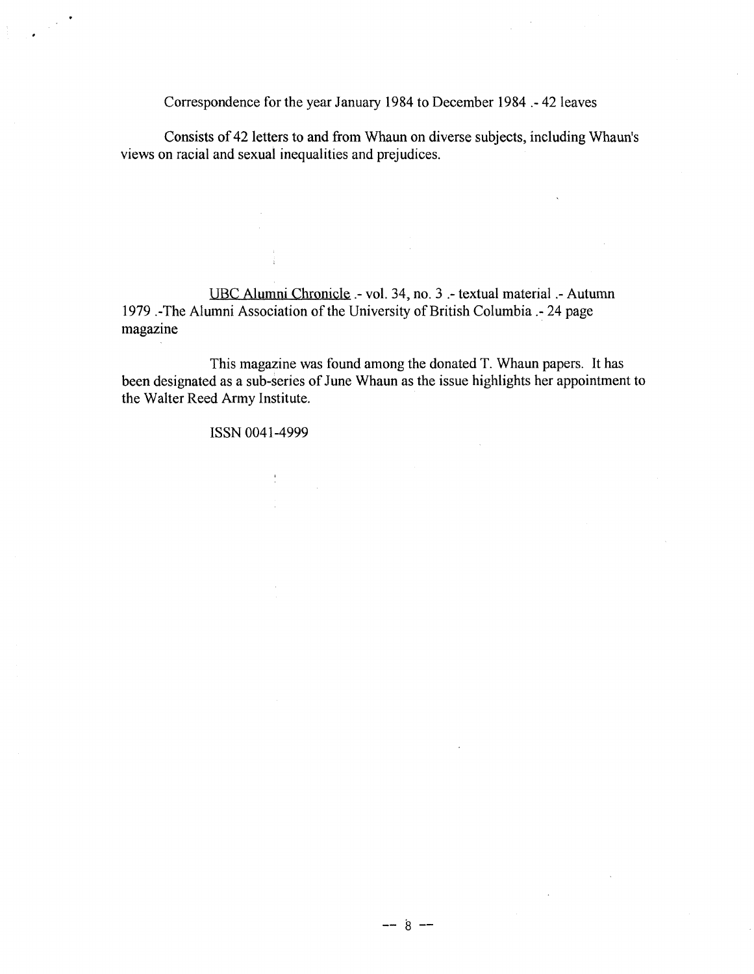Correspondence for the year January 1984 to December 1984 .- 42 leaves

Consists of 42 letters to and from Whaun on diverse subjects, including Whaun's views on racial and sexual inequalities and prejudices.

UBC Alumni Chronicle .- vol. 34, no. 3 .- textual material .- Autumn 1979 .-The Alumni Association of the University of British Columbia .- 24 page magazine

This magazine was found among the donated T. Whaun papers. It has been designated as a sub-series of June Whaun as the issue highlights her appointment to the Walter Reed Army Institute.

 $--$  8  $--$ 

ISSN 0041-4999

in 1991.<br>Prima politika